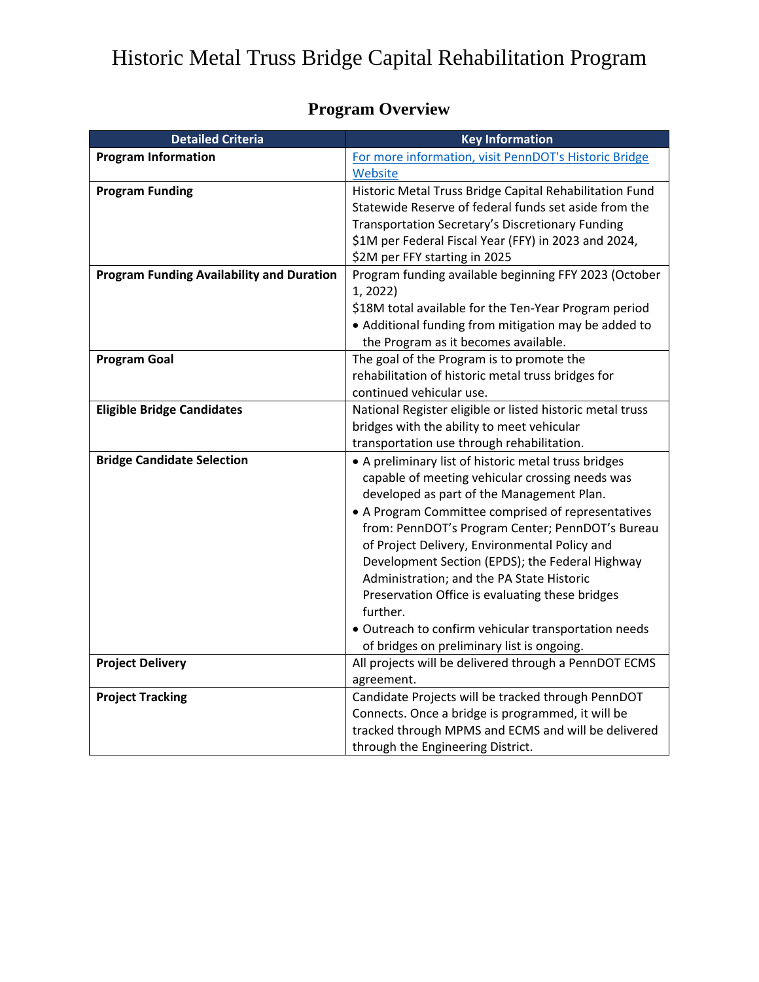## Historic Metal Truss Bridge Capital Rehabilitation Program

| <b>Program Overview</b> |
|-------------------------|
|-------------------------|

| <b>Detailed Criteria</b>                         | <b>Key Information</b>                                    |
|--------------------------------------------------|-----------------------------------------------------------|
| <b>Program Information</b>                       | For more information, visit PennDOT's Historic Bridge     |
|                                                  | Website                                                   |
| <b>Program Funding</b>                           | Historic Metal Truss Bridge Capital Rehabilitation Fund   |
|                                                  | Statewide Reserve of federal funds set aside from the     |
|                                                  | Transportation Secretary's Discretionary Funding          |
|                                                  | \$1M per Federal Fiscal Year (FFY) in 2023 and 2024,      |
|                                                  | \$2M per FFY starting in 2025                             |
| <b>Program Funding Availability and Duration</b> | Program funding available beginning FFY 2023 (October     |
|                                                  | 1, 2022)                                                  |
|                                                  | \$18M total available for the Ten-Year Program period     |
|                                                  | • Additional funding from mitigation may be added to      |
|                                                  | the Program as it becomes available.                      |
| <b>Program Goal</b>                              | The goal of the Program is to promote the                 |
|                                                  | rehabilitation of historic metal truss bridges for        |
|                                                  | continued vehicular use.                                  |
| <b>Eligible Bridge Candidates</b>                | National Register eligible or listed historic metal truss |
|                                                  | bridges with the ability to meet vehicular                |
|                                                  | transportation use through rehabilitation.                |
| <b>Bridge Candidate Selection</b>                | • A preliminary list of historic metal truss bridges      |
|                                                  | capable of meeting vehicular crossing needs was           |
|                                                  | developed as part of the Management Plan.                 |
|                                                  | • A Program Committee comprised of representatives        |
|                                                  | from: PennDOT's Program Center; PennDOT's Bureau          |
|                                                  | of Project Delivery, Environmental Policy and             |
|                                                  | Development Section (EPDS); the Federal Highway           |
|                                                  | Administration; and the PA State Historic                 |
|                                                  | Preservation Office is evaluating these bridges           |
|                                                  | further.                                                  |
|                                                  | · Outreach to confirm vehicular transportation needs      |
|                                                  | of bridges on preliminary list is ongoing.                |
| <b>Project Delivery</b>                          | All projects will be delivered through a PennDOT ECMS     |
|                                                  | agreement.                                                |
| <b>Project Tracking</b>                          | Candidate Projects will be tracked through PennDOT        |
|                                                  | Connects. Once a bridge is programmed, it will be         |
|                                                  | tracked through MPMS and ECMS and will be delivered       |
|                                                  | through the Engineering District.                         |